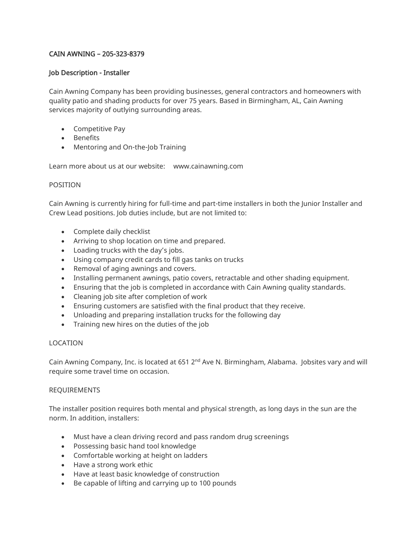# CAIN AWNING – 205-323-8379

## Job Description - Installer

Cain Awning Company has been providing businesses, general contractors and homeowners with quality patio and shading products for over 75 years. Based in Birmingham, AL, Cain Awning services majority of outlying surrounding areas.

- Competitive Pay
- Benefits
- Mentoring and On-the-Job Training

Learn more about us at our website: www.cainawning.com

### POSITION

Cain Awning is currently hiring for full-time and part-time installers in both the Junior Installer and Crew Lead positions. Job duties include, but are not limited to:

- Complete daily checklist
- Arriving to shop location on time and prepared.
- Loading trucks with the day's jobs.
- Using company credit cards to fill gas tanks on trucks
- Removal of aging awnings and covers.
- Installing permanent awnings, patio covers, retractable and other shading equipment.
- Ensuring that the job is completed in accordance with Cain Awning quality standards.
- Cleaning job site after completion of work
- Ensuring customers are satisfied with the final product that they receive.
- Unloading and preparing installation trucks for the following day
- Training new hires on the duties of the job

### LOCATION

Cain Awning Company, Inc. is located at 651  $2^{nd}$  Ave N. Birmingham, Alabama. Jobsites vary and will require some travel time on occasion.

### REQUIREMENTS

The installer position requires both mental and physical strength, as long days in the sun are the norm. In addition, installers:

- Must have a clean driving record and pass random drug screenings
- Possessing basic hand tool knowledge
- Comfortable working at height on ladders
- Have a strong work ethic
- Have at least basic knowledge of construction
- Be capable of lifting and carrying up to 100 pounds